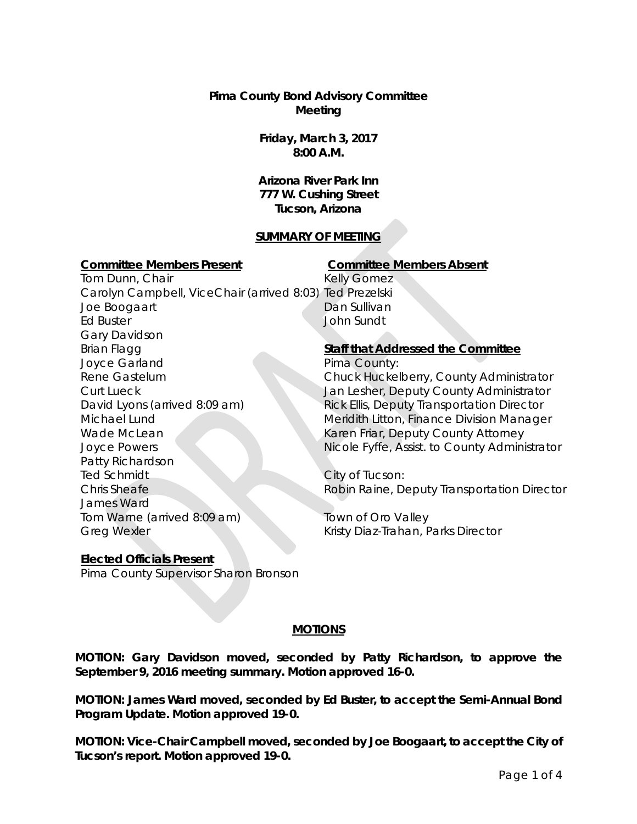**Pima County Bond Advisory Committee Meeting**

> **Friday, March 3, 2017 8:00 A.M.**

**Arizona River Park Inn 777 W. Cushing Street Tucson, Arizona**

## **SUMMARY OF MEETING**

#### **Committee Members Present Committee Members Absent**

Tom Dunn, Chair Carolyn Campbell, ViceChair (arrived 8:03) Ted Prezelski Joe Boogaart Ed Buster Gary Davidson Brian Flagg Joyce Garland Rene Gastelum Curt Lueck David Lyons (arrived 8:09 am) Michael Lund Wade McLean Joyce Powers Patty Richardson Ted Schmidt Chris Sheafe James Ward Tom Warne (arrived 8:09 am) Greg Wexler

Kelly Gomez Dan Sullivan John Sundt

# **Staff that Addressed the Committee**

Pima County: Chuck Huckelberry, County Administrator Jan Lesher, Deputy County Administrator Rick Ellis, Deputy Transportation Director Meridith Litton, Finance Division Manager Karen Friar, Deputy County Attorney Nicole Fyffe, Assist. to County Administrator

City of Tucson: Robin Raine, Deputy Transportation Director

Town of Oro Valley Kristy Diaz-Trahan, Parks Director

# **Elected Officials Present**

Pima County Supervisor Sharon Bronson

# **MOTIONS**

**MOTION: Gary Davidson moved, seconded by Patty Richardson, to approve the September 9, 2016 meeting summary. Motion approved 16-0.**

**MOTION: James Ward moved, seconded by Ed Buster, to accept the Semi-Annual Bond Program Update. Motion approved 19-0.** 

**MOTION: Vice-Chair Campbell moved, seconded by Joe Boogaart, to accept the City of Tucson's report. Motion approved 19-0.**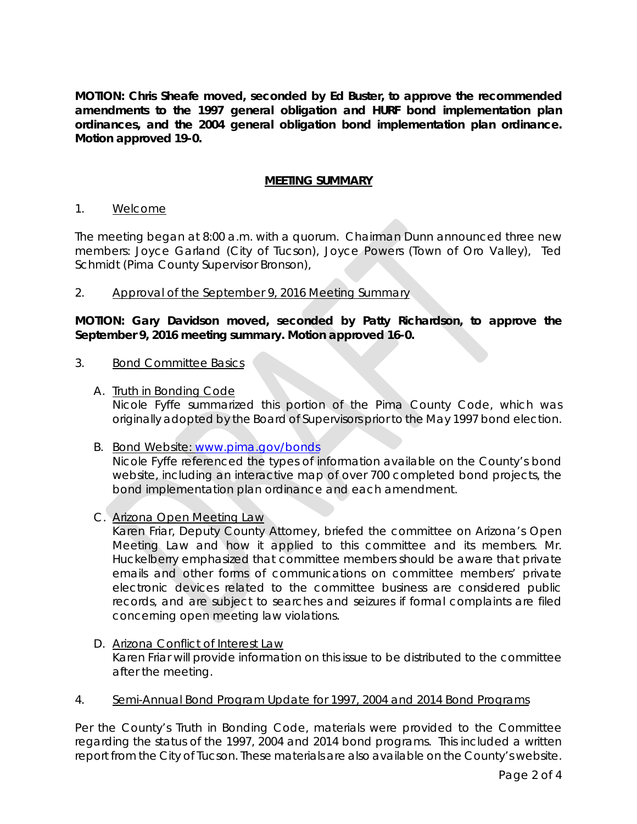**MOTION: Chris Sheafe moved, seconded by Ed Buster, to approve the recommended amendments to the 1997 general obligation and HURF bond implementation plan ordinances, and the 2004 general obligation bond implementation plan ordinance. Motion approved 19-0.** 

## **MEETING SUMMARY**

#### 1. Welcome

The meeting began at 8:00 a.m. with a quorum. Chairman Dunn announced three new members: Joyce Garland (City of Tucson), Joyce Powers (Town of Oro Valley), Ted Schmidt (Pima County Supervisor Bronson),

### 2. Approval of the September 9, 2016 Meeting Summary

**MOTION: Gary Davidson moved, seconded by Patty Richardson, to approve the September 9, 2016 meeting summary. Motion approved 16-0.**

#### 3. Bond Committee Basics

A. Truth in Bonding Code

Nicole Fyffe summarized this portion of the Pima County Code, which was originally adopted by the Board of Supervisors prior to the May 1997 bond election.

B. Bond Website: [www.pima.gov/bonds](http://www.pima.gov/bonds)

Nicole Fyffe referenced the types of information available on the County's bond website, including an interactive map of over 700 completed bond projects, the bond implementation plan ordinance and each amendment.

C. Arizona Open Meeting Law

Karen Friar, Deputy County Attorney, briefed the committee on Arizona's Open Meeting Law and how it applied to this committee and its members. Mr. Huckelberry emphasized that committee members should be aware that private emails and other forms of communications on committee members' private electronic devices related to the committee business are considered public records, and are subject to searches and seizures if formal complaints are filed concerning open meeting law violations.

- D. Arizona Conflict of Interest Law Karen Friar will provide information on this issue to be distributed to the committee after the meeting.
- 4. Semi-Annual Bond Program Update for 1997, 2004 and 2014 Bond Programs

Per the County's Truth in Bonding Code, materials were provided to the Committee regarding the status of the 1997, 2004 and 2014 bond programs. This included a written report from the City of Tucson. These materials are also available on the County's website.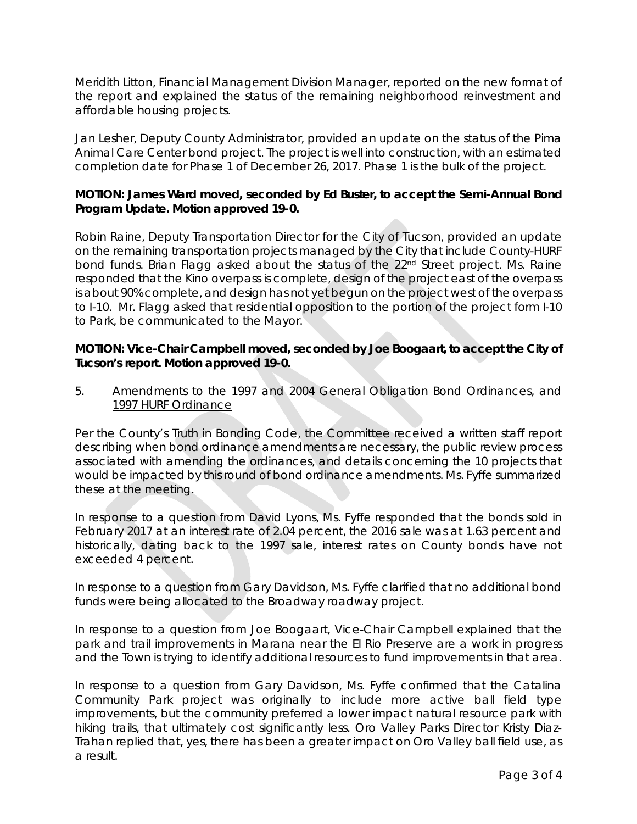Meridith Litton, Financial Management Division Manager, reported on the new format of the report and explained the status of the remaining neighborhood reinvestment and affordable housing projects.

Jan Lesher, Deputy County Administrator, provided an update on the status of the Pima Animal Care Center bond project. The project is well into construction, with an estimated completion date for Phase 1 of December 26, 2017. Phase 1 is the bulk of the project.

## **MOTION: James Ward moved, seconded by Ed Buster, to accept the Semi-Annual Bond Program Update. Motion approved 19-0.**

Robin Raine, Deputy Transportation Director for the City of Tucson, provided an update on the remaining transportation projects managed by the City that include County-HURF bond funds. Brian Flagg asked about the status of the 22<sup>nd</sup> Street project. Ms. Raine responded that the Kino overpass is complete, design of the project east of the overpass is about 90% complete, and design has not yet begun on the project west of the overpass to I-10. Mr. Flagg asked that residential opposition to the portion of the project form I-10 to Park, be communicated to the Mayor.

## **MOTION: Vice-Chair Campbell moved, seconded by Joe Boogaart, to accept the City of Tucson's report. Motion approved 19-0.**

5. Amendments to the 1997 and 2004 General Obligation Bond Ordinances, and 1997 HURF Ordinance

Per the County's Truth in Bonding Code, the Committee received a written staff report describing when bond ordinance amendments are necessary, the public review process associated with amending the ordinances, and details concerning the 10 projects that would be impacted by this round of bond ordinance amendments. Ms. Fyffe summarized these at the meeting.

In response to a question from David Lyons, Ms. Fyffe responded that the bonds sold in February 2017 at an interest rate of 2.04 percent, the 2016 sale was at 1.63 percent and historically, dating back to the 1997 sale, interest rates on County bonds have not exceeded 4 percent.

In response to a question from Gary Davidson, Ms. Fyffe clarified that no additional bond funds were being allocated to the Broadway roadway project.

In response to a question from Joe Boogaart, Vice-Chair Campbell explained that the park and trail improvements in Marana near the El Rio Preserve are a work in progress and the Town is trying to identify additional resources to fund improvements in that area.

In response to a question from Gary Davidson, Ms. Fyffe confirmed that the Catalina Community Park project was originally to include more active ball field type improvements, but the community preferred a lower impact natural resource park with hiking trails, that ultimately cost significantly less. Oro Valley Parks Director Kristy Diaz-Trahan replied that, yes, there has been a greater impact on Oro Valley ball field use, as a result.